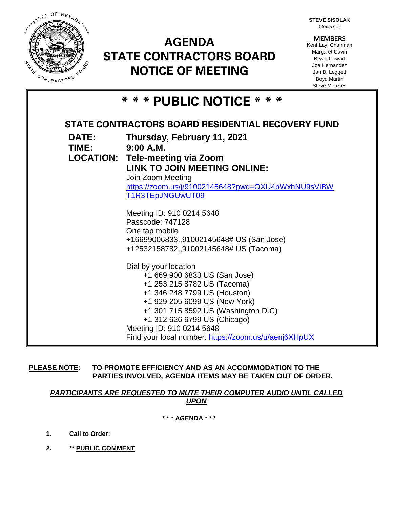

# **AGENDA STATE CONTRACTORS BOARD NOTICE OF MEETING**

**STEVE SISOLAK** *Governor*

**MEMBERS** Kent Lay, Chairman Margaret Cavin Bryan Cowart Joe Hernandez Jan B. Leggett Boyd Martin Steve Menzies

|  |  |  |  | * * * PUBLIC NOTICE * * * |  |  |  |  |  |  |  |  |
|--|--|--|--|---------------------------|--|--|--|--|--|--|--|--|
|--|--|--|--|---------------------------|--|--|--|--|--|--|--|--|

| STATE CONTRACTORS BOARD RESIDENTIAL RECOVERY FUND |                                                      |  |  |  |  |  |  |
|---------------------------------------------------|------------------------------------------------------|--|--|--|--|--|--|
| <b>DATE:</b>                                      | Thursday, February 11, 2021                          |  |  |  |  |  |  |
| TIME:                                             | 9:00 A.M.                                            |  |  |  |  |  |  |
|                                                   | <b>LOCATION: Tele-meeting via Zoom</b>               |  |  |  |  |  |  |
|                                                   | LINK TO JOIN MEETING ONLINE:                         |  |  |  |  |  |  |
|                                                   | Join Zoom Meeting                                    |  |  |  |  |  |  |
|                                                   | https://zoom.us/j/91002145648?pwd=OXU4bWxhNU9sVIBW   |  |  |  |  |  |  |
|                                                   | T1R3TEpJNGUwUT09                                     |  |  |  |  |  |  |
|                                                   | Meeting ID: 910 0214 5648                            |  |  |  |  |  |  |
|                                                   | Passcode: 747128                                     |  |  |  |  |  |  |
|                                                   | One tap mobile                                       |  |  |  |  |  |  |
|                                                   | +16699006833,,91002145648# US (San Jose)             |  |  |  |  |  |  |
|                                                   | +12532158782,,91002145648# US (Tacoma)               |  |  |  |  |  |  |
|                                                   | Dial by your location                                |  |  |  |  |  |  |
|                                                   | +1 669 900 6833 US (San Jose)                        |  |  |  |  |  |  |
|                                                   | +1 253 215 8782 US (Tacoma)                          |  |  |  |  |  |  |
|                                                   | +1 346 248 7799 US (Houston)                         |  |  |  |  |  |  |
|                                                   | +1 929 205 6099 US (New York)                        |  |  |  |  |  |  |
|                                                   | +1 301 715 8592 US (Washington D.C)                  |  |  |  |  |  |  |
|                                                   | +1 312 626 6799 US (Chicago)                         |  |  |  |  |  |  |
|                                                   | Meeting ID: 910 0214 5648                            |  |  |  |  |  |  |
|                                                   | Find your local number: https://zoom.us/u/aenj6XHpUX |  |  |  |  |  |  |

**PLEASE NOTE: TO PROMOTE EFFICIENCY AND AS AN ACCOMMODATION TO THE PARTIES INVOLVED, AGENDA ITEMS MAY BE TAKEN OUT OF ORDER.**

*PARTICIPANTS ARE REQUESTED TO MUTE THEIR COMPUTER AUDIO UNTIL CALLED UPON*

**\* \* \* AGENDA \* \* \***

- **1. Call to Order:**
- **2. \*\* PUBLIC COMMENT**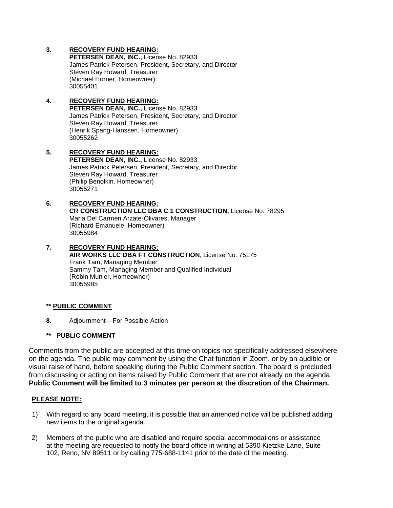## **3. RECOVERY FUND HEARING:**

**PETERSEN DEAN, INC.,** License No. 82933 James Patrick Petersen, President, Secretary, and Director Steven Ray Howard, Treasurer (Michael Horner, Homeowner) 30055401

#### **4. RECOVERY FUND HEARING: PETERSEN DEAN, INC.,** License No. 82933 James Patrick Petersen, President, Secretary, and Director Steven Ray Howard, Treasurer (Henrik Spang-Hanssen, Homeowner) 30055262

**5. RECOVERY FUND HEARING: PETERSEN DEAN, INC.,** License No. 82933 James Patrick Petersen, President, Secretary, and Director Steven Ray Howard, Treasurer (Philip Benolkin, Homeowner) 30055271

## **6. RECOVERY FUND HEARING: CR CONSTRUCTION LLC DBA C 1 CONSTRUCTION,** License No. 78295 Maria Del Carmen Arzate-Olivares, Manager (Richard Emanuele, Homeowner) 30055984

#### **7. RECOVERY FUND HEARING: AIR WORKS LLC DBA FT CONSTRUCTION**, License No. 75175 Frank Tam, Managing Member Sammy Tam, Managing Member and Qualified Individual (Robin Munier, Homeowner) 30055985

# **\*\* PUBLIC COMMENT**

**8.** Adjournment – For Possible Action

# **\*\* PUBLIC COMMENT**

Comments from the public are accepted at this time on topics not specifically addressed elsewhere on the agenda. The public may comment by using the Chat function in Zoom, or by an audible or visual raise of hand, before speaking during the Public Comment section. The board is precluded from discussing or acting on items raised by Public Comment that are not already on the agenda. **Public Comment will be limited to 3 minutes per person at the discretion of the Chairman.**

# **PLEASE NOTE:**

- 1) With regard to any board meeting, it is possible that an amended notice will be published adding new items to the original agenda.
- 2) Members of the public who are disabled and require special accommodations or assistance at the meeting are requested to notify the board office in writing at 5390 Kietzke Lane, Suite 102, Reno, NV 89511 or by calling 775-688-1141 prior to the date of the meeting.